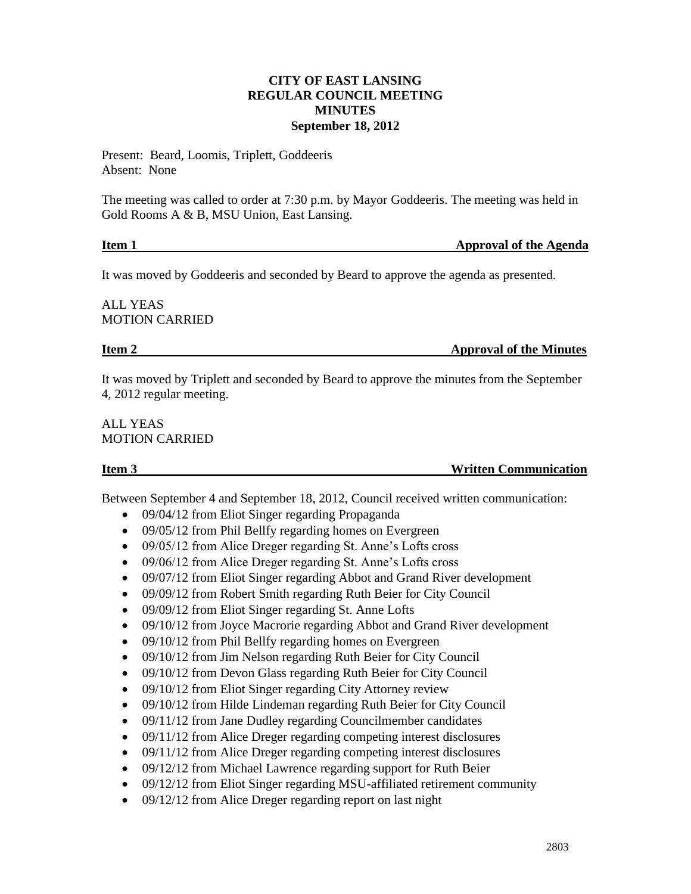# **CITY OF EAST LANSING REGULAR COUNCIL MEETING MINUTES September 18, 2012**

Present: Beard, Loomis, Triplett, Goddeeris Absent: None

The meeting was called to order at 7:30 p.m. by Mayor Goddeeris. The meeting was held in Gold Rooms A & B, MSU Union, East Lansing.

### **Item 1** Approval of the Agenda

It was moved by Goddeeris and seconded by Beard to approve the agenda as presented.

ALL YEAS MOTION CARRIED

**Item 2 Approval of the Minutes** 

It was moved by Triplett and seconded by Beard to approve the minutes from the September 4, 2012 regular meeting.

ALL YEAS MOTION CARRIED

**Item 3** Written Communication

Between September 4 and September 18, 2012, Council received written communication:

- 09/04/12 from Eliot Singer regarding Propaganda
- 09/05/12 from Phil Bellfy regarding homes on Evergreen
- 09/05/12 from Alice Dreger regarding St. Anne's Lofts cross
- 09/06/12 from Alice Dreger regarding St. Anne's Lofts cross
- 09/07/12 from Eliot Singer regarding Abbot and Grand River development
- 09/09/12 from Robert Smith regarding Ruth Beier for City Council
- 09/09/12 from Eliot Singer regarding St. Anne Lofts
- 09/10/12 from Joyce Macrorie regarding Abbot and Grand River development
- 09/10/12 from Phil Bellfy regarding homes on Evergreen
- 09/10/12 from Jim Nelson regarding Ruth Beier for City Council
- 09/10/12 from Devon Glass regarding Ruth Beier for City Council
- 09/10/12 from Eliot Singer regarding City Attorney review
- 09/10/12 from Hilde Lindeman regarding Ruth Beier for City Council
- 09/11/12 from Jane Dudley regarding Councilmember candidates
- 09/11/12 from Alice Dreger regarding competing interest disclosures
- 09/11/12 from Alice Dreger regarding competing interest disclosures
- 09/12/12 from Michael Lawrence regarding support for Ruth Beier
- 09/12/12 from Eliot Singer regarding MSU-affiliated retirement community
- 09/12/12 from Alice Dreger regarding report on last night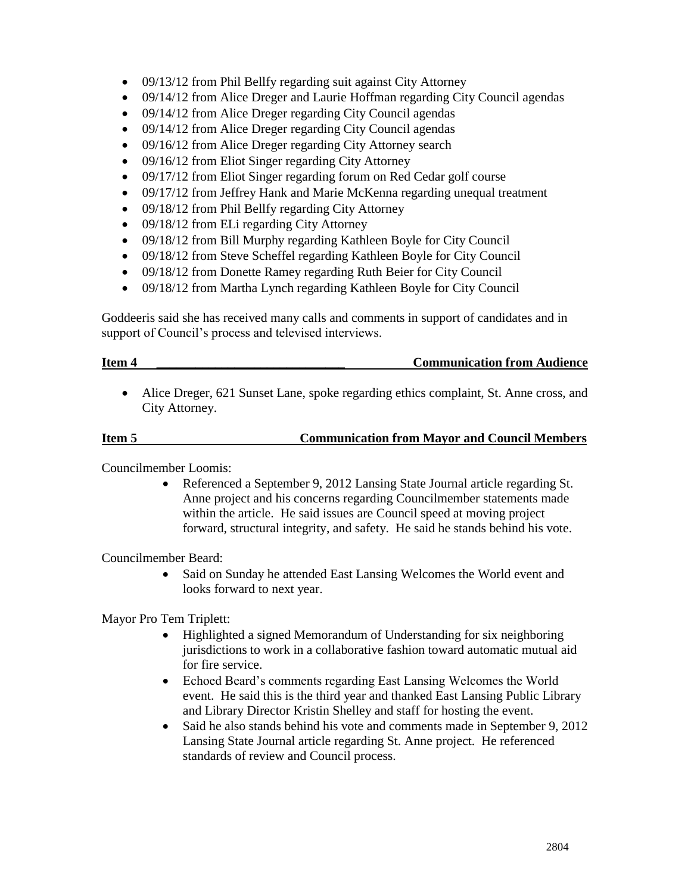- 09/13/12 from Phil Bellfy regarding suit against City Attorney
- 09/14/12 from Alice Dreger and Laurie Hoffman regarding City Council agendas
- 09/14/12 from Alice Dreger regarding City Council agendas
- 09/14/12 from Alice Dreger regarding City Council agendas
- 09/16/12 from Alice Dreger regarding City Attorney search
- 09/16/12 from Eliot Singer regarding City Attorney
- 09/17/12 from Eliot Singer regarding forum on Red Cedar golf course
- 09/17/12 from Jeffrey Hank and Marie McKenna regarding unequal treatment
- 09/18/12 from Phil Bellfy regarding City Attorney
- 09/18/12 from ELi regarding City Attorney
- 09/18/12 from Bill Murphy regarding Kathleen Boyle for City Council
- 09/18/12 from Steve Scheffel regarding Kathleen Boyle for City Council
- 09/18/12 from Donette Ramey regarding Ruth Beier for City Council
- 09/18/12 from Martha Lynch regarding Kathleen Boyle for City Council

Goddeeris said she has received many calls and comments in support of candidates and in support of Council's process and televised interviews.

### **Item 4 \_\_\_\_\_\_\_\_\_\_\_\_\_\_\_\_\_\_\_\_\_\_\_\_\_\_\_\_\_ Communication from Audience**

 Alice Dreger, 621 Sunset Lane, spoke regarding ethics complaint, St. Anne cross, and City Attorney.

# **Item 5 Communication from Mayor and Council Members**

Councilmember Loomis:

 Referenced a September 9, 2012 Lansing State Journal article regarding St. Anne project and his concerns regarding Councilmember statements made within the article. He said issues are Council speed at moving project forward, structural integrity, and safety. He said he stands behind his vote.

Councilmember Beard:

 Said on Sunday he attended East Lansing Welcomes the World event and looks forward to next year.

Mayor Pro Tem Triplett:

- Highlighted a signed Memorandum of Understanding for six neighboring jurisdictions to work in a collaborative fashion toward automatic mutual aid for fire service.
- Echoed Beard's comments regarding East Lansing Welcomes the World event. He said this is the third year and thanked East Lansing Public Library and Library Director Kristin Shelley and staff for hosting the event.
- Said he also stands behind his vote and comments made in September 9, 2012 Lansing State Journal article regarding St. Anne project. He referenced standards of review and Council process.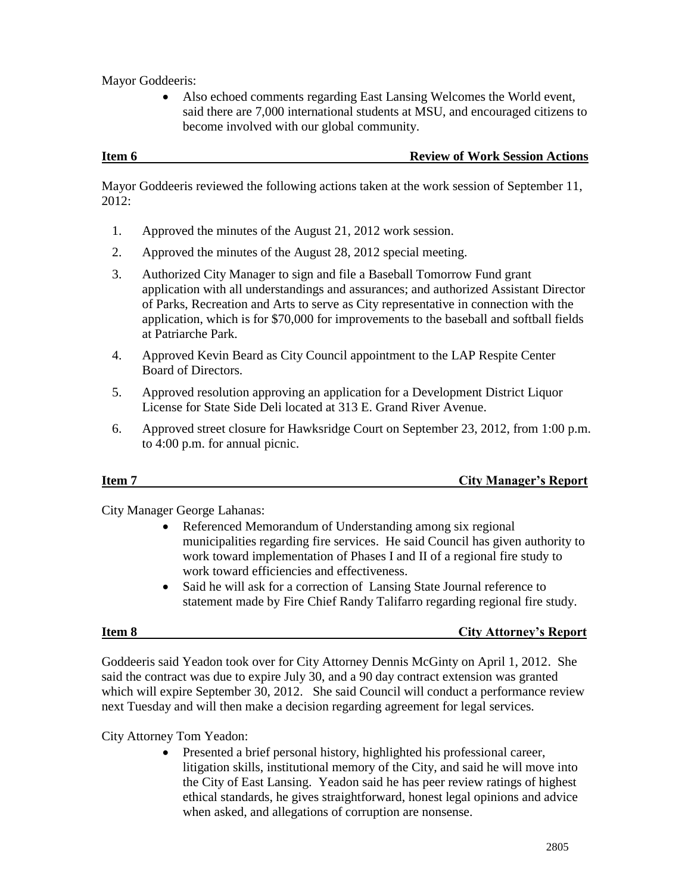Mayor Goddeeris:

 Also echoed comments regarding East Lansing Welcomes the World event, said there are 7,000 international students at MSU, and encouraged citizens to become involved with our global community.

Mayor Goddeeris reviewed the following actions taken at the work session of September 11, 2012:

- 1. Approved the minutes of the August 21, 2012 work session.
- 2. Approved the minutes of the August 28, 2012 special meeting.
- 3. Authorized City Manager to sign and file a Baseball Tomorrow Fund grant application with all understandings and assurances; and authorized Assistant Director of Parks, Recreation and Arts to serve as City representative in connection with the application, which is for \$70,000 for improvements to the baseball and softball fields at Patriarche Park.
- 4. Approved Kevin Beard as City Council appointment to the LAP Respite Center Board of Directors.
- 5. Approved resolution approving an application for a Development District Liquor License for State Side Deli located at 313 E. Grand River Avenue.
- 6. Approved street closure for Hawksridge Court on September 23, 2012, from 1:00 p.m. to 4:00 p.m. for annual picnic.

# **Item 7** City Manager's Report

City Manager George Lahanas:

- Referenced Memorandum of Understanding among six regional municipalities regarding fire services. He said Council has given authority to work toward implementation of Phases I and II of a regional fire study to work toward efficiencies and effectiveness.
- Said he will ask for a correction of Lansing State Journal reference to statement made by Fire Chief Randy Talifarro regarding regional fire study.

### **Item 8 City Attorney's Report**

Goddeeris said Yeadon took over for City Attorney Dennis McGinty on April 1, 2012. She said the contract was due to expire July 30, and a 90 day contract extension was granted which will expire September 30, 2012. She said Council will conduct a performance review next Tuesday and will then make a decision regarding agreement for legal services.

City Attorney Tom Yeadon:

 Presented a brief personal history, highlighted his professional career, litigation skills, institutional memory of the City, and said he will move into the City of East Lansing. Yeadon said he has peer review ratings of highest ethical standards, he gives straightforward, honest legal opinions and advice when asked, and allegations of corruption are nonsense.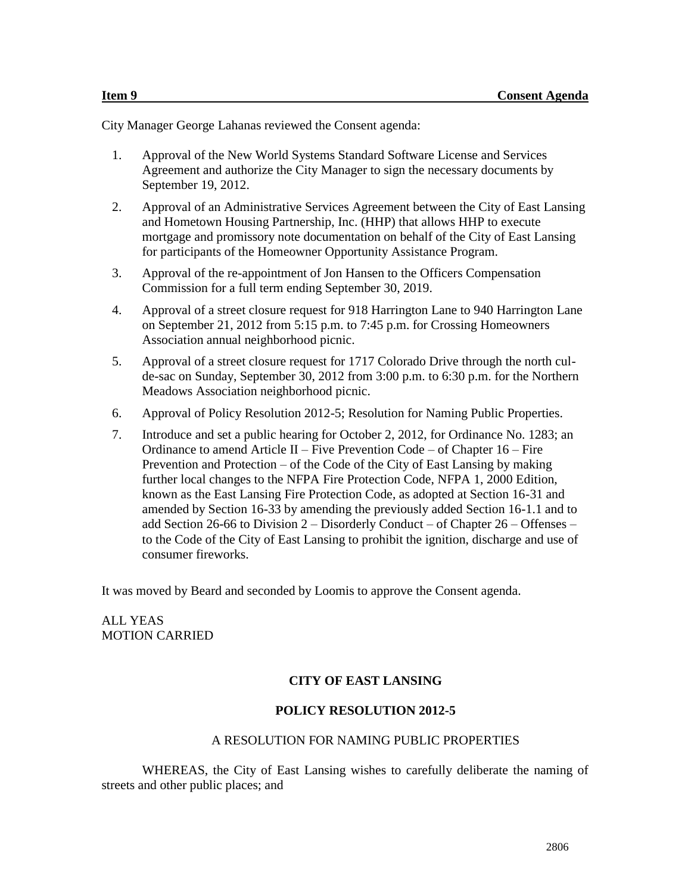City Manager George Lahanas reviewed the Consent agenda:

- 1. Approval of the New World Systems Standard Software License and Services Agreement and authorize the City Manager to sign the necessary documents by September 19, 2012.
- 2. Approval of an Administrative Services Agreement between the City of East Lansing and Hometown Housing Partnership, Inc. (HHP) that allows HHP to execute mortgage and promissory note documentation on behalf of the City of East Lansing for participants of the Homeowner Opportunity Assistance Program.
- 3. Approval of the re-appointment of Jon Hansen to the Officers Compensation Commission for a full term ending September 30, 2019.
- 4. Approval of a street closure request for 918 Harrington Lane to 940 Harrington Lane on September 21, 2012 from 5:15 p.m. to 7:45 p.m. for Crossing Homeowners Association annual neighborhood picnic.
- 5. Approval of a street closure request for 1717 Colorado Drive through the north culde-sac on Sunday, September 30, 2012 from 3:00 p.m. to 6:30 p.m. for the Northern Meadows Association neighborhood picnic.
- 6. Approval of Policy Resolution 2012-5; Resolution for Naming Public Properties.
- 7. Introduce and set a public hearing for October 2, 2012, for Ordinance No. 1283; an Ordinance to amend Article II – Five Prevention Code – of Chapter  $16$  – Fire Prevention and Protection – of the Code of the City of East Lansing by making further local changes to the NFPA Fire Protection Code, NFPA 1, 2000 Edition, known as the East Lansing Fire Protection Code, as adopted at Section 16-31 and amended by Section 16-33 by amending the previously added Section 16-1.1 and to add Section 26-66 to Division 2 – Disorderly Conduct – of Chapter 26 – Offenses – to the Code of the City of East Lansing to prohibit the ignition, discharge and use of consumer fireworks.

It was moved by Beard and seconded by Loomis to approve the Consent agenda.

ALL YEAS MOTION CARRIED

# **CITY OF EAST LANSING**

### **POLICY RESOLUTION 2012-5**

#### A RESOLUTION FOR NAMING PUBLIC PROPERTIES

WHEREAS, the City of East Lansing wishes to carefully deliberate the naming of streets and other public places; and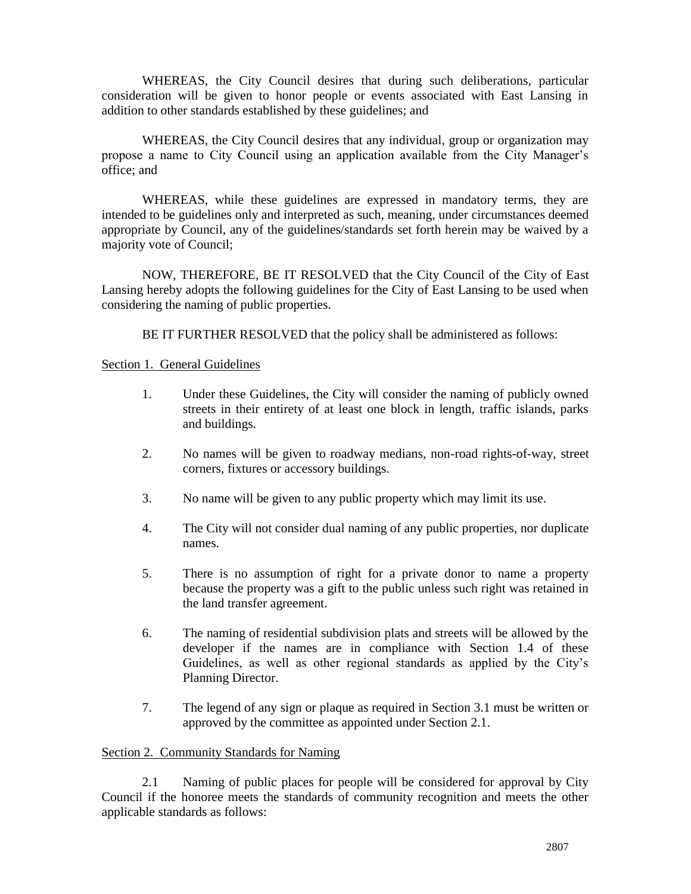WHEREAS, the City Council desires that during such deliberations, particular consideration will be given to honor people or events associated with East Lansing in addition to other standards established by these guidelines; and

WHEREAS, the City Council desires that any individual, group or organization may propose a name to City Council using an application available from the City Manager's office; and

WHEREAS, while these guidelines are expressed in mandatory terms, they are intended to be guidelines only and interpreted as such, meaning, under circumstances deemed appropriate by Council, any of the guidelines/standards set forth herein may be waived by a majority vote of Council;

NOW, THEREFORE, BE IT RESOLVED that the City Council of the City of East Lansing hereby adopts the following guidelines for the City of East Lansing to be used when considering the naming of public properties.

BE IT FURTHER RESOLVED that the policy shall be administered as follows:

### Section 1. General Guidelines

- 1. Under these Guidelines, the City will consider the naming of publicly owned streets in their entirety of at least one block in length, traffic islands, parks and buildings.
- 2. No names will be given to roadway medians, non-road rights-of-way, street corners, fixtures or accessory buildings.
- 3. No name will be given to any public property which may limit its use.
- 4. The City will not consider dual naming of any public properties, nor duplicate names.
- 5. There is no assumption of right for a private donor to name a property because the property was a gift to the public unless such right was retained in the land transfer agreement.
- 6. The naming of residential subdivision plats and streets will be allowed by the developer if the names are in compliance with Section 1.4 of these Guidelines, as well as other regional standards as applied by the City's Planning Director.
- 7. The legend of any sign or plaque as required in Section 3.1 must be written or approved by the committee as appointed under Section 2.1.

### Section 2. Community Standards for Naming

2.1 Naming of public places for people will be considered for approval by City Council if the honoree meets the standards of community recognition and meets the other applicable standards as follows: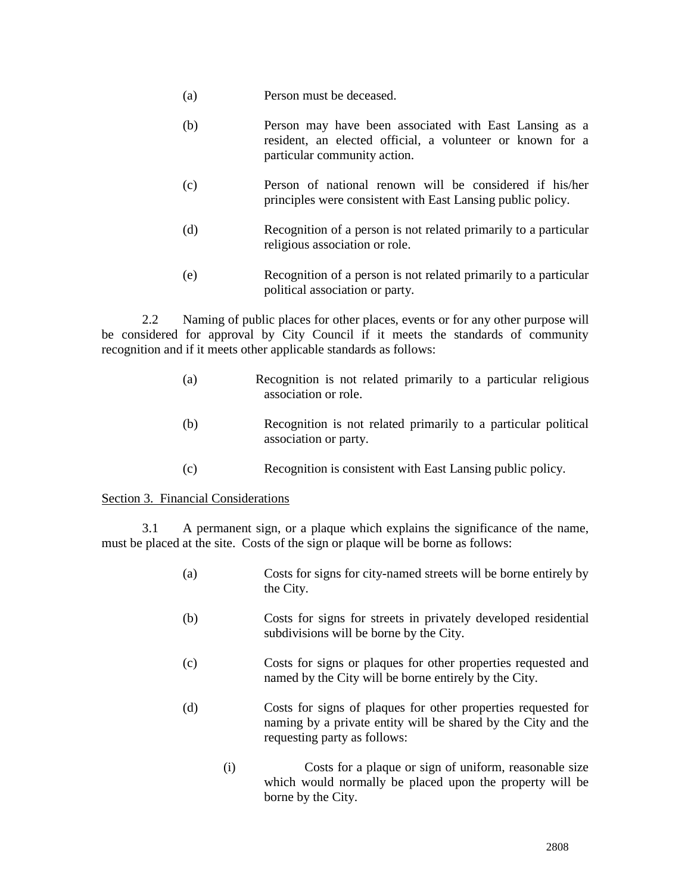- (a) Person must be deceased.
- (b) Person may have been associated with East Lansing as a resident, an elected official, a volunteer or known for a particular community action.
- (c) Person of national renown will be considered if his/her principles were consistent with East Lansing public policy.
- (d) Recognition of a person is not related primarily to a particular religious association or role.
- (e) Recognition of a person is not related primarily to a particular political association or party.

2.2 Naming of public places for other places, events or for any other purpose will be considered for approval by City Council if it meets the standards of community recognition and if it meets other applicable standards as follows:

- (a) Recognition is not related primarily to a particular religious association or role.
- (b) Recognition is not related primarily to a particular political association or party.
- (c) Recognition is consistent with East Lansing public policy.

### Section 3. Financial Considerations

3.1 A permanent sign, or a plaque which explains the significance of the name, must be placed at the site. Costs of the sign or plaque will be borne as follows:

- (a) Costs for signs for city-named streets will be borne entirely by the City.
- (b) Costs for signs for streets in privately developed residential subdivisions will be borne by the City.
- (c) Costs for signs or plaques for other properties requested and named by the City will be borne entirely by the City.
- (d) Costs for signs of plaques for other properties requested for naming by a private entity will be shared by the City and the requesting party as follows:
	- (i) Costs for a plaque or sign of uniform, reasonable size which would normally be placed upon the property will be borne by the City.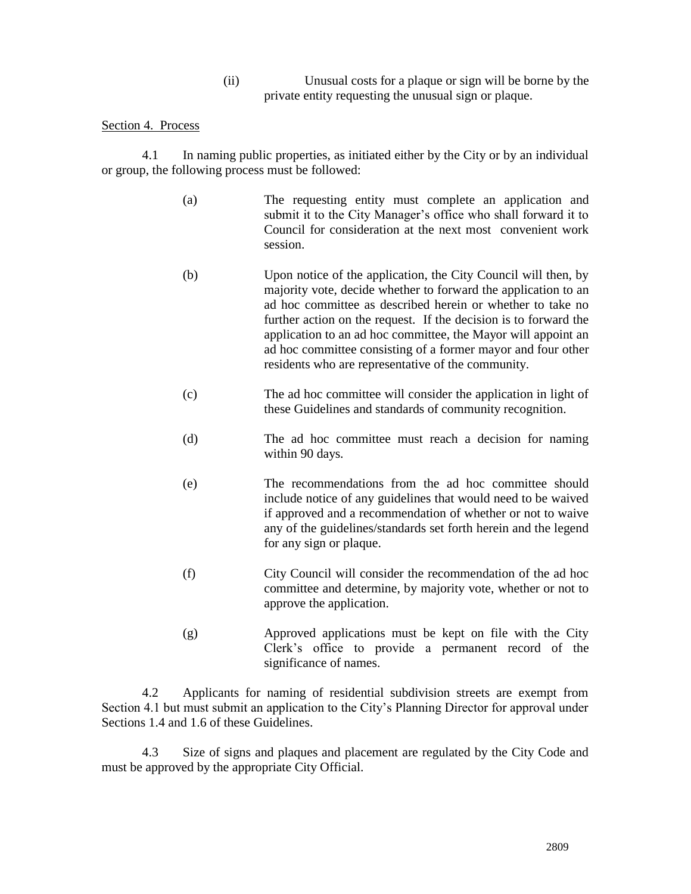(ii) Unusual costs for a plaque or sign will be borne by the private entity requesting the unusual sign or plaque.

#### Section 4. Process

4.1 In naming public properties, as initiated either by the City or by an individual or group, the following process must be followed:

- (a) The requesting entity must complete an application and submit it to the City Manager's office who shall forward it to Council for consideration at the next most convenient work session.
- (b) Upon notice of the application, the City Council will then, by majority vote, decide whether to forward the application to an ad hoc committee as described herein or whether to take no further action on the request. If the decision is to forward the application to an ad hoc committee, the Mayor will appoint an ad hoc committee consisting of a former mayor and four other residents who are representative of the community.
- (c) The ad hoc committee will consider the application in light of these Guidelines and standards of community recognition.
- (d) The ad hoc committee must reach a decision for naming within 90 days.
- (e) The recommendations from the ad hoc committee should include notice of any guidelines that would need to be waived if approved and a recommendation of whether or not to waive any of the guidelines/standards set forth herein and the legend for any sign or plaque.
- (f) City Council will consider the recommendation of the ad hoc committee and determine, by majority vote, whether or not to approve the application.
- (g) Approved applications must be kept on file with the City Clerk's office to provide a permanent record of the significance of names.

4.2 Applicants for naming of residential subdivision streets are exempt from Section 4.1 but must submit an application to the City's Planning Director for approval under Sections 1.4 and 1.6 of these Guidelines.

4.3 Size of signs and plaques and placement are regulated by the City Code and must be approved by the appropriate City Official.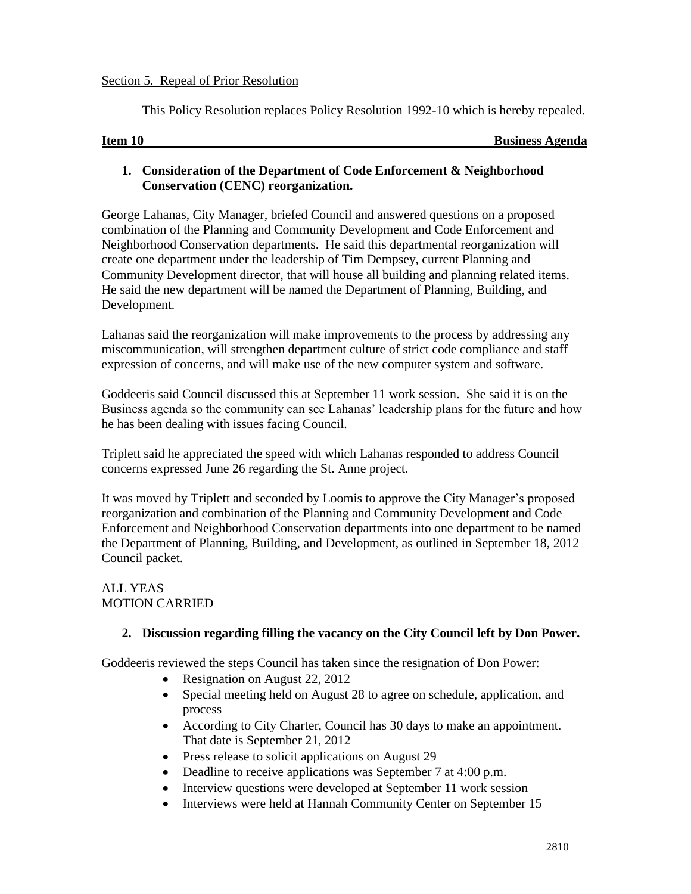### Section 5. Repeal of Prior Resolution

This Policy Resolution replaces Policy Resolution 1992-10 which is hereby repealed.

| Item 10 |  |
|---------|--|
|         |  |

**Business Agenda** 

# **1. Consideration of the Department of Code Enforcement & Neighborhood Conservation (CENC) reorganization.**

George Lahanas, City Manager, briefed Council and answered questions on a proposed combination of the Planning and Community Development and Code Enforcement and Neighborhood Conservation departments. He said this departmental reorganization will create one department under the leadership of Tim Dempsey, current Planning and Community Development director, that will house all building and planning related items. He said the new department will be named the Department of Planning, Building, and Development.

Lahanas said the reorganization will make improvements to the process by addressing any miscommunication, will strengthen department culture of strict code compliance and staff expression of concerns, and will make use of the new computer system and software.

Goddeeris said Council discussed this at September 11 work session. She said it is on the Business agenda so the community can see Lahanas' leadership plans for the future and how he has been dealing with issues facing Council.

Triplett said he appreciated the speed with which Lahanas responded to address Council concerns expressed June 26 regarding the St. Anne project.

It was moved by Triplett and seconded by Loomis to approve the City Manager's proposed reorganization and combination of the Planning and Community Development and Code Enforcement and Neighborhood Conservation departments into one department to be named the Department of Planning, Building, and Development, as outlined in September 18, 2012 Council packet.

# ALL YEAS MOTION CARRIED

# **2. Discussion regarding filling the vacancy on the City Council left by Don Power.**

Goddeeris reviewed the steps Council has taken since the resignation of Don Power:

- Resignation on August 22, 2012
- Special meeting held on August 28 to agree on schedule, application, and process
- According to City Charter, Council has 30 days to make an appointment. That date is September 21, 2012
- Press release to solicit applications on August 29
- Deadline to receive applications was September 7 at 4:00 p.m.
- Interview questions were developed at September 11 work session
- Interviews were held at Hannah Community Center on September 15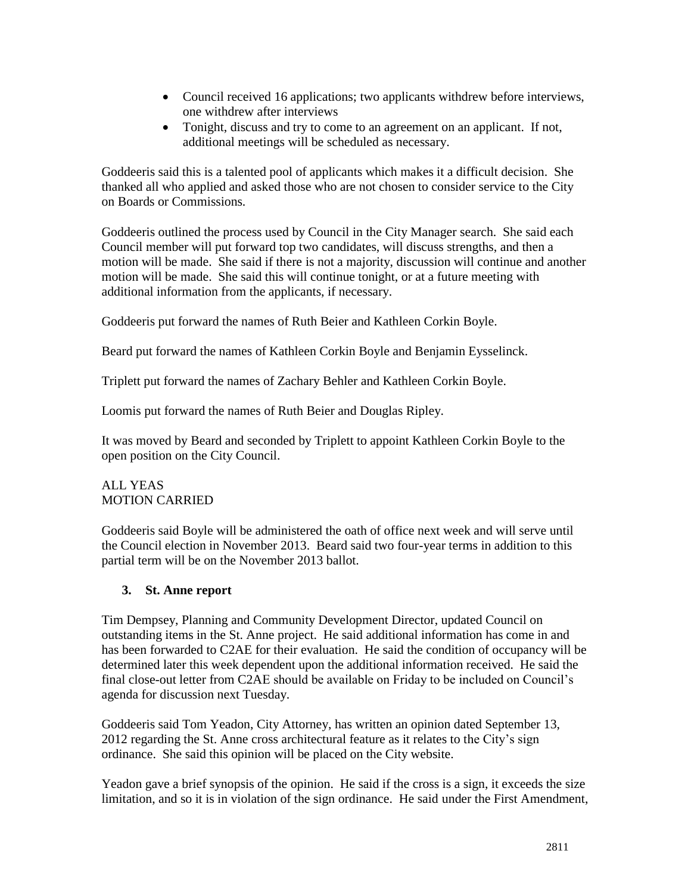- Council received 16 applications; two applicants withdrew before interviews, one withdrew after interviews
- Tonight, discuss and try to come to an agreement on an applicant. If not, additional meetings will be scheduled as necessary.

Goddeeris said this is a talented pool of applicants which makes it a difficult decision. She thanked all who applied and asked those who are not chosen to consider service to the City on Boards or Commissions.

Goddeeris outlined the process used by Council in the City Manager search. She said each Council member will put forward top two candidates, will discuss strengths, and then a motion will be made. She said if there is not a majority, discussion will continue and another motion will be made. She said this will continue tonight, or at a future meeting with additional information from the applicants, if necessary.

Goddeeris put forward the names of Ruth Beier and Kathleen Corkin Boyle.

Beard put forward the names of Kathleen Corkin Boyle and Benjamin Eysselinck.

Triplett put forward the names of Zachary Behler and Kathleen Corkin Boyle.

Loomis put forward the names of Ruth Beier and Douglas Ripley.

It was moved by Beard and seconded by Triplett to appoint Kathleen Corkin Boyle to the open position on the City Council.

# ALL YEAS MOTION CARRIED

Goddeeris said Boyle will be administered the oath of office next week and will serve until the Council election in November 2013. Beard said two four-year terms in addition to this partial term will be on the November 2013 ballot.

# **3. St. Anne report**

Tim Dempsey, Planning and Community Development Director, updated Council on outstanding items in the St. Anne project. He said additional information has come in and has been forwarded to C2AE for their evaluation. He said the condition of occupancy will be determined later this week dependent upon the additional information received. He said the final close-out letter from C2AE should be available on Friday to be included on Council's agenda for discussion next Tuesday.

Goddeeris said Tom Yeadon, City Attorney, has written an opinion dated September 13, 2012 regarding the St. Anne cross architectural feature as it relates to the City's sign ordinance. She said this opinion will be placed on the City website.

Yeadon gave a brief synopsis of the opinion. He said if the cross is a sign, it exceeds the size limitation, and so it is in violation of the sign ordinance. He said under the First Amendment,